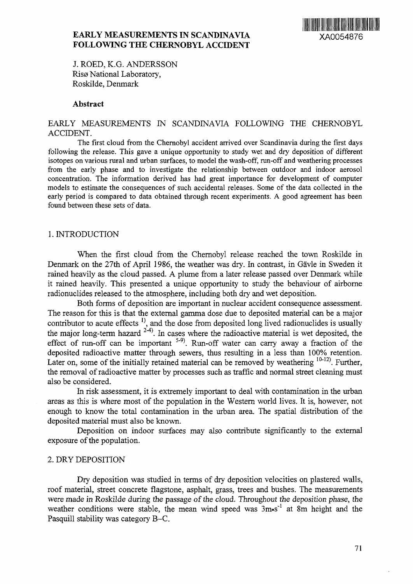

# **EARLY MEASUREMENTS IN SCANDINAVIA** XA0054876 **FOLLOWING THE CHERNOBYL ACCIDENT**

J. ROED, K.G. ANDERSSON Risø National Laboratory, Roskilde, Denmark

### **Abstract**

## EARLY MEASUREMENTS IN SCANDINAVIA FOLLOWING THE CHERNOBYL ACCIDENT.

The first cloud from the Chernobyl accident arrived over Scandinavia during the first days following the release. This gave a unique opportunity to study wet and dry deposition of different isotopes on various rural and urban surfaces, to model the wash-off, run-off and weathering processes from the early phase and to investigate the relationship between outdoor and indoor aerosol concentration. The information derived has had great importance for development of computer models to estimate the consequences of such accidental releases. Some of the data collected in the early period is compared to data obtained through recent experiments. A good agreement has been found between these sets of data.

#### 1. INTRODUCTION

When the first cloud from the Chernobyl release reached the town Roskilde in Denmark on the 27th of April 1986, the weather was dry. In contrast, in Gävle in Sweden it rained heavily as the cloud passed. A plume from a later release passed over Denmark while it rained heavily. This presented a unique opportunity to study the behaviour of airborne radionuclides released to the atmosphere, including both dry and wet deposition.

Both forms of deposition are important in nuclear accident consequence assessment. The reason for this is that the external gamma dose due to deposited material can be a major contributor to acute effects<sup>1</sup>, and the dose from deposited long lived radionuclides is usually the major long-term hazard *\* In cases where the radioactive material is wet deposited, the effect of run-off can be important  $5-9$ . Run-off water can carry away a fraction of the deposited radioactive matter through sewers, thus resulting in a less than 100% retention. Later on, some of the initially retained material can be removed by weathering  $10-12$ . Further, the removal of radioactive matter by processes such as traffic and normal street cleaning must also be considered.

In risk assessment, it is extremely important to deal with contamination in the urban areas as this is where most of the population in the Western world lives. It is, however, not enough to know the total contamination in the urban area. The spatial distribution of the deposited material must also be known.

Deposition on indoor surfaces may also contribute significantly to the external exposure of the population.

### 2. DRY DEPOSITION

Dry deposition was studied in terms of dry deposition velocities on plastered walls, roof material, street concrete flagstone, asphalt, grass, trees and bushes. The measurements were made in Roskilde during the passage of the cloud. Throughout the deposition phase, the weather conditions were stable, the mean wind speed was 3m•s<sup>-1</sup> at 8m height and the Pasquill stability was category B-C.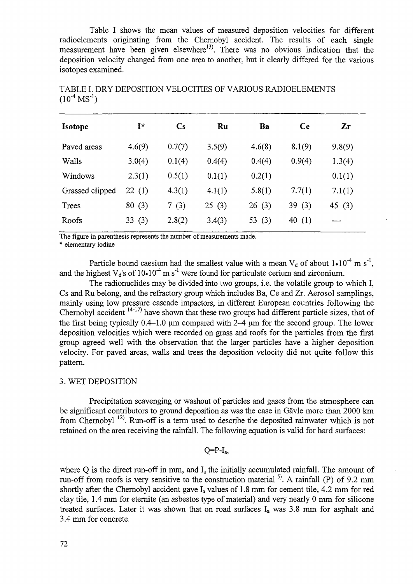Table I shows the mean values of measured deposition velocities for different radioelements originating from the Chernobyl accident. The results of each single measurement have been given elsewhere<sup>13</sup>. There was no obvious indication that the deposition velocity changed from one area to another, but it clearly differed for the various isotopes examined.

| <b>Isotope</b>  | I*     | $\mathbf{C}\mathbf{s}$ | Ru     | Ba       | Ce       | Zr     |
|-----------------|--------|------------------------|--------|----------|----------|--------|
| Paved areas     | 4.6(9) | 0.7(7)                 | 3.5(9) | 4.6(8)   | 8.1(9)   | 9.8(9) |
| Walls           | 3.0(4) | 0.1(4)                 | 0.4(4) | 0.4(4)   | 0.9(4)   | 1.3(4) |
| Windows         | 2.3(1) | 0.5(1)                 | 0.1(1) | 0.2(1)   |          | 0.1(1) |
| Grassed clipped | 22(1)  | 4.3(1)                 | 4.1(1) | 5.8(1)   | 7.7(1)   | 7.1(1) |
| Trees           | 80(3)  | 7(3)                   | 25(3)  | 26(3)    | 39(3)    | 45(3)  |
| Roofs           | 33(3)  | 2.8(2)                 | 3.4(3) | 53 $(3)$ | 40 $(1)$ |        |

TABLE I. DRY DEPOSITION VELOCITIES OF VARIOUS RADIOELEMENTS  $(10^{-4} \text{ MS}^{-1})$ 

The figure in parenthesis represents the number of measurements made.

\* elementary iodine

Particle bound caesium had the smallest value with a mean  $V_d$  of about  $1 \cdot 10^{-4}$  m s<sup>-1</sup>, and the highest  $V_d$ 's of 10 $\cdot$ 10<sup>-4</sup> m s<sup>-1</sup> were found for particulate cerium and zirconium.

The radionuclides may be divided into two groups, i.e. the volatile group to which I, Cs and Ru belong, and the refractory group which includes Ba, Ce and Zr. Aerosol samplings, mainly using low pressure cascade impactors, in different European countries following the Chernobyl accident <sup>14-17)</sup> have shown that these two groups had different particle sizes, that of the first being typically 0.4-1.0 um compared with 2-4 um for the second group. The lower deposition velocities which were recorded on grass and roofs for the particles from the first group agreed well with the observation that the larger particles have a higher deposition velocity. For paved areas, walls and trees the deposition velocity did not quite follow this pattern.

## 3. WET DEPOSITION

Precipitation scavenging or washout of particles and gases from the atmosphere can be significant contributors to ground deposition as was the case in Gävle more than 2000 km from Chernobyl <sup>12)</sup>. Run-off is a term used to describe the deposited rainwater which is not retained on the area receiving the rainfall. The following equation is valid for hard surfaces:

### $Q=PI_a$

where O is the direct run-off in mm, and  $I_a$  the initially accumulated rainfall. The amount of run-off from roofs is very sensitive to the construction material  $^{5}$ . A rainfall (P) of 9.2 mm shortly after the Chernobyl accident gave  $I_a$  values of 1.8 mm for cement tile, 4.2 mm for red clay tile, 1.4 mm for eternite (an asbestos type of material) and very nearly 0 mm for silicone treated surfaces. Later it was shown that on road surfaces  $I_a$  was 3.8 mm for asphalt and 3.4 mm for concrete.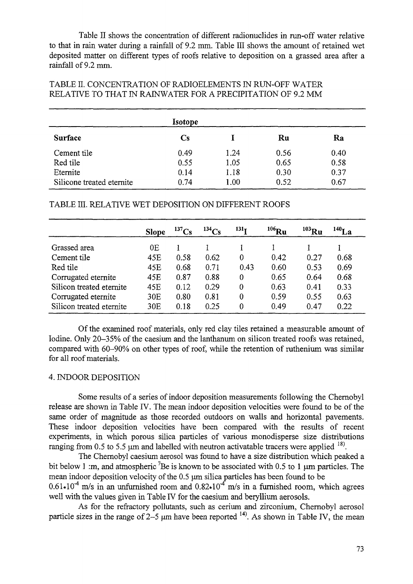Table II shows the concentration of different radionuclides in run-off water relative to that in rain water during a rainfall of 9.2 mm. Table III shows the amount of retained wet deposited matter on different types of roofs relative to deposition on a grassed area after a rainfall of 9.2 mm.

## TABLE II. CONCENTRATION OF RADIOELEMENTS IN RUN-OFF WATER RELATIVE TO THAT IN RAINWATER FOR A PRECIPITATION OF 9.2 MM

|                           | Isotope                |      |      |      |
|---------------------------|------------------------|------|------|------|
| Surface                   | $\mathbf{C}\mathbf{s}$ |      | Ru   | Ra   |
| Cement tile               | 0.49                   | 1.24 | 0.56 | 0.40 |
| Red tile                  | 0.55                   | 1.05 | 0.65 | 0.58 |
| Eternite                  | 0.14                   | 1.18 | 0.30 | 0.37 |
| Silicone treated eternite | 0.74                   | 1.00 | 0.52 | 0.67 |

TABLE HI. RELATIVE WET DEPOSITION ON DIFFERENT ROOFS

|                          | <b>Slope</b> | $^{137}Cs$ | $^{134}Cs$ | 131 <sub>T</sub> | $^{106}\text{Ru}$ | $^{103}\rm{Ru}$ | $140$ La |
|--------------------------|--------------|------------|------------|------------------|-------------------|-----------------|----------|
| Grassed area             | 0E           |            |            |                  |                   |                 |          |
| Cement tile              | 45E          | 0.58       | 0.62       | 0                | 0.42              | 0.27            | 0.68     |
| Red tile                 | 45E          | 0.68       | 0.71       | 0.43             | 0.60              | 0.53            | 0.69     |
| Corrugated eternite      | 45E          | 0.87       | 0.88       | $\theta$         | 0.65              | 0.64            | 0.68     |
| Silicon treated eternite | 45E          | 0.12       | 0.29       | $\Omega$         | 0.63              | 0.41            | 0.33     |
| Corrugated eternite      | 30E          | 0.80       | 0.81       | $\bf{0}$         | 0.59              | 0.55            | 0.63     |
| Silicon treated eternite | 30E          | 0.18       | 0.25       | $\Omega$         | 0.49              | 0.47            | 0.22     |

Of the examined roof materials, only red clay tiles retained a measurable amount of Iodine. Only 20-35% of the caesium and the lanthanum on silicon treated roofs was retained, compared with 60-90% on other types of roof, while the retention of ruthenium was similar for all roof materials.

# 4. INDOOR DEPOSITION

Some results of a series of indoor deposition measurements following the Chernobyl release are shown in Table IV. The mean indoor deposition velocities were found to be of the same order of magnitude as those recorded outdoors on walls and horizontal pavements. These indoor deposition velocities have been compared with the results of recent experiments, in which porous silica particles of various monodisperse size distributions ranging from 0.5 to 5.5  $\mu$ m and labelled with neutron activatable tracers were applied  $^{18}$ .

The Chernobyl caesium aerosol was found to have a size distribution which peaked a bit below 1 :m, and atmospheric <sup>7</sup>Be is known to be associated with 0.5 to 1  $\mu$ m particles. The mean indoor deposition velocity of the 0.5 um silica particles has been found to be 0.61.10<sup>4</sup> m/s in an unfurnished room and 0.82.10<sup>4</sup> m/s in a furnished room, which agrees well with the values given in Table IV for the caesium and beryllium aerosols.

As for the refractory pollutants, such as cerium and zirconium, Chernobyl aerosol particle sizes in the range of 2–5  $\mu$ m have been reported  $^{14}$ . As shown in Table IV, the mean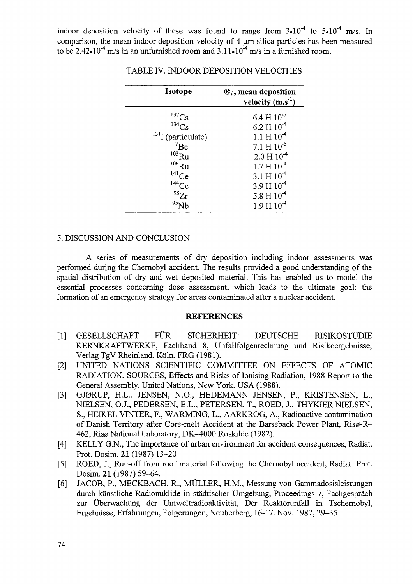indoor deposition velocity of these was found to range from  $3\cdot10^{-4}$  to  $5\cdot10^{-4}$  m/s. In comparison, the mean indoor deposition velocity of 4 um silica particles has been measured to be 2.42 $\cdot$ 10<sup>-4</sup> m/s in an unfurnished room and 3.11 $\cdot$ 10<sup>-4</sup> m/s in a furnished room.

| Isotope                                                               | $\mathcal{B}_d$ , mean deposition<br>velocity $(m.s^{-1})$ |
|-----------------------------------------------------------------------|------------------------------------------------------------|
| $\frac{137}{134}Cs$                                                   | $6.4 \text{ H} 10^{-5}$                                    |
|                                                                       | $6.2 H10^{-5}$                                             |
| $^{131}$ I (particulate)                                              | $1.1 \text{ H} 10^{-4}$                                    |
|                                                                       | $7.1 H 10^{-5}$                                            |
|                                                                       | $2.0 H10-4$                                                |
|                                                                       | $1.7 H 10-4$                                               |
|                                                                       | $3.1 H 10-4$                                               |
|                                                                       | $3.9 H 10-4$                                               |
| $7Be$<br>$103Ru$<br>$106Ru$<br>$141Ce$<br>$144Ce$<br>$95Zr$<br>$95Nh$ | 5.8 H $10^{-4}$                                            |
|                                                                       | $1.9 H 10-4$                                               |

TABLE IV. INDOOR DEPOSITION VELOCITIES

#### 5. DISCUSSION AND CONCLUSION

A series of measurements of dry deposition including indoor assessments was performed during the Chernobyl accident. The results provided a good understanding of the spatial distribution of dry and wet deposited material. This has enabled us to model the essential processes concerning dose assessment, which leads to the ultimate goal: the formation of an emergency strategy for areas contaminated after a nuclear accident.

### **REFERENCES**

- [1] GESELLSCHAFT FUR SICHERHEIT: DEUTSCHE RISIKOSTUDIE KERNKRAFTWERKE, Fachband 8, Unfallfolgenrechnung und Risikoergebnisse, Verlag TgV Rheinland, Köln, FRG (1981).
- [2] UNITED NATIONS SCIENTIFIC COMMITTEE ON EFFECTS OF ATOMIC RADIATION. SOURCES, Effects and Risks of Ionising Radiation, 1988 Report to the General Assembly, United Nations, New York, USA (1988).
- [3] GJ0RUP, H.L., JENSEN, N.O., HEDEMANN JENSEN, P., KRISTENSEN, L., NIELSEN, O.J., PEDERSEN, E.L., PETERSEN, T., ROED, J., THYKIER NIELSEN, S., HEIKEL VINTER, F., WARMING, L., AARKROG, A., Radioactive contamination of Danish Territory after Core-melt Accident at the Barsebäck Power Plant, Risø-R-462, Risø National Laboratory, DK-4000 Roskilde (1982).
- [4] KELLY G.N., The importance of urban environment for accident consequences, Radiat. Prot. Dosim. 21 (1987) 13-20
- [5] ROED, J., Run-off from roof material following the Chernobyl accident, Radiat. Prot. Dosim. 21 (1987) 59-64.
- [6] JACOB, P., MECKBACH, R., MULLER, H.M., Messung von Gammadosisleistungen durch kiinstliche Radionuklide in stadtischer Umgebung, Proceedings 7, Fachgesprach zur Überwachung der Umweltradioaktivität, Der Reaktorunfall in Tschernobyl, Ergebnisse, Erfahrungen, Folgerungen, Neuherberg, 16-17. Nov. 1987, 29-35.